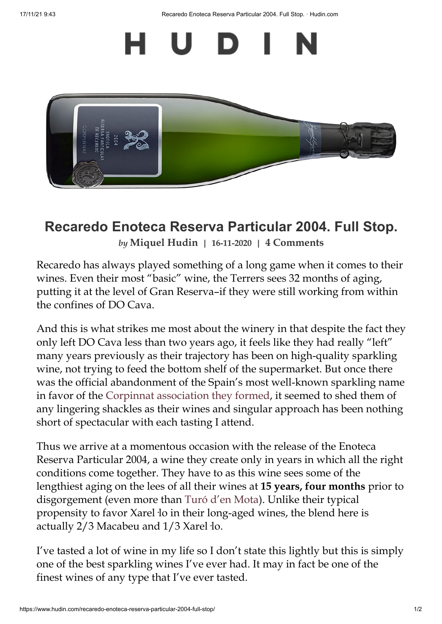17/11/21 9:43 Recaredo Enoteca Reserva Particular 2004. Full Stop. · Hudin.com



## **Recaredo Enoteca Reserva Particular 2004. Full Stop.**

*by* **[Miquel](https://www.hudin.com/author/miquel/) Hudin | 16-11-2020 | 4 Comments**

Recaredo has always played something of a long game when it comes to their wines. Even their most "basic" wine, the Terrers sees 32 months of aging, putting it at the level of Gran Reserva–if they were still working from within the confines of DO Cava.

And this is what strikes me most about the winery in that despite the fact they only left DO Cava less than two years ago, it feels like they had really "left" many years previously as their trajectory has been on high-quality sparkling wine, not trying to feed the bottom shelf of the supermarket. But once there was the official abandonment of the Spain's most well-known sparkling name in favor of the Corpinnat [association](https://www.hudin.com/corpinnat-and-the-death-of-fine-cava/) they formed, it seemed to shed them of any lingering shackles as their wines and singular approach has been nothing short of spectacular with each tasting I attend.

Thus we arrive at a momentous occasion with the release of the Enoteca Reserva Particular 2004, a wine they create only in years in which all the right conditions come together. They have to as this wine sees some of the lengthiest aging on the lees of all their wines at **15 years, four months** prior to disgorgement (even more than Turó d'en [Mota\)](https://www.hudin.com/wine/recaredo-turo-den-mota-2007/). Unlike their typical propensity to favor Xarel·lo in their long-aged wines, the blend here is actually 2/3 Macabeu and 1/3 Xarel·lo.

I've tasted a lot of wine in my life so I don't state this lightly but this is simply one of the best sparkling wines I've ever had. It may in fact be one of the finest wines of any type that I've ever tasted.